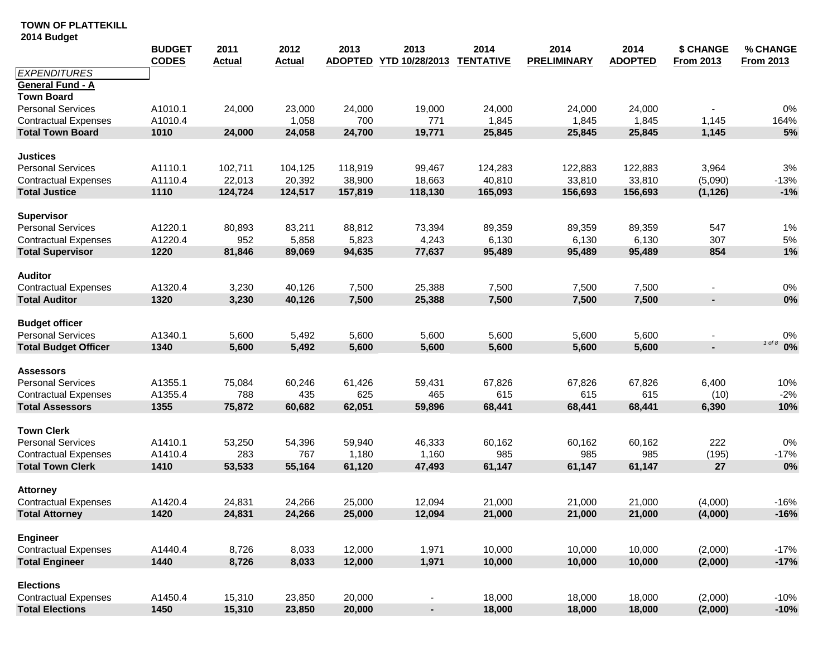|                             | <b>BUDGET</b><br><b>CODES</b> | 2011<br><b>Actual</b> | 2012<br><b>Actual</b> | 2013<br><b>ADOPTED</b> | 2013<br>YTD 10/28/2013 | 2014<br><b>TENTATIVE</b> | 2014<br><b>PRELIMINARY</b> | 2014<br><b>ADOPTED</b> | \$ CHANGE<br><b>From 2013</b> | % CHANGE<br><b>From 2013</b> |
|-----------------------------|-------------------------------|-----------------------|-----------------------|------------------------|------------------------|--------------------------|----------------------------|------------------------|-------------------------------|------------------------------|
| <b>EXPENDITURES</b>         |                               |                       |                       |                        |                        |                          |                            |                        |                               |                              |
| General Fund - A            |                               |                       |                       |                        |                        |                          |                            |                        |                               |                              |
| <b>Town Board</b>           |                               |                       |                       |                        |                        |                          |                            |                        |                               |                              |
| <b>Personal Services</b>    | A1010.1                       | 24,000                | 23,000                | 24,000                 | 19,000                 | 24,000                   | 24,000                     | 24,000                 |                               | 0%                           |
| <b>Contractual Expenses</b> | A1010.4                       |                       | 1,058                 | 700                    | 771                    | 1,845                    | 1,845                      | 1,845                  | 1,145                         | 164%                         |
| <b>Total Town Board</b>     | 1010                          | 24,000                | 24,058                | 24,700                 | 19,771                 | 25,845                   | 25,845                     | 25,845                 | 1,145                         | 5%                           |
| <b>Justices</b>             |                               |                       |                       |                        |                        |                          |                            |                        |                               |                              |
| <b>Personal Services</b>    | A1110.1                       | 102,711               | 104,125               | 118,919                | 99,467                 | 124,283                  | 122,883                    | 122,883                | 3,964                         | 3%                           |
| <b>Contractual Expenses</b> | A1110.4                       | 22,013                | 20,392                | 38,900                 | 18,663                 | 40,810                   | 33,810                     | 33,810                 | (5,090)                       | $-13%$                       |
| <b>Total Justice</b>        | 1110                          | 124,724               | 124,517               | 157,819                | 118,130                | 165,093                  | 156,693                    | 156,693                | (1, 126)                      | $-1%$                        |
| <b>Supervisor</b>           |                               |                       |                       |                        |                        |                          |                            |                        |                               |                              |
| <b>Personal Services</b>    | A1220.1                       | 80,893                | 83,211                | 88,812                 | 73,394                 | 89,359                   | 89,359                     | 89,359                 | 547                           | 1%                           |
| <b>Contractual Expenses</b> | A1220.4                       | 952                   | 5,858                 | 5,823                  | 4,243                  | 6,130                    | 6,130                      | 6,130                  | 307                           | $5\%$                        |
| <b>Total Supervisor</b>     | 1220                          | 81,846                | 89,069                | 94,635                 | 77,637                 | 95,489                   | 95,489                     | 95,489                 | 854                           | 1%                           |
| <b>Auditor</b>              |                               |                       |                       |                        |                        |                          |                            |                        |                               |                              |
| <b>Contractual Expenses</b> | A1320.4                       | 3,230                 | 40,126                | 7,500                  | 25,388                 | 7,500                    | 7,500                      | 7,500                  |                               | 0%                           |
| <b>Total Auditor</b>        | 1320                          | 3,230                 | 40,126                | 7,500                  | 25,388                 | 7,500                    | 7,500                      | 7,500                  | $\blacksquare$                | 0%                           |
| <b>Budget officer</b>       |                               |                       |                       |                        |                        |                          |                            |                        |                               |                              |
| <b>Personal Services</b>    | A1340.1                       | 5,600                 | 5,492                 | 5,600                  | 5,600                  | 5,600                    | 5,600                      | 5,600                  | $\blacksquare$                | 0%                           |
| <b>Total Budget Officer</b> | 1340                          | 5,600                 | 5,492                 | 5,600                  | 5,600                  | 5,600                    | 5,600                      | 5,600                  | $\blacksquare$                | $1 of 8$ 0%                  |
| <b>Assessors</b>            |                               |                       |                       |                        |                        |                          |                            |                        |                               |                              |
| <b>Personal Services</b>    | A1355.1                       | 75,084                | 60,246                | 61,426                 | 59,431                 | 67,826                   | 67,826                     | 67,826                 | 6,400                         | 10%                          |
| <b>Contractual Expenses</b> | A1355.4                       | 788                   | 435                   | 625                    | 465                    | 615                      | 615                        | 615                    | (10)                          | $-2%$                        |
| <b>Total Assessors</b>      | 1355                          | 75,872                | 60,682                | 62,051                 | 59,896                 | 68,441                   | 68,441                     | 68,441                 | 6,390                         | 10%                          |
| <b>Town Clerk</b>           |                               |                       |                       |                        |                        |                          |                            |                        |                               |                              |
| <b>Personal Services</b>    | A1410.1                       | 53,250                | 54,396                | 59,940                 | 46,333                 | 60,162                   | 60,162                     | 60,162                 | 222                           | $0\%$                        |
| <b>Contractual Expenses</b> | A1410.4                       | 283                   | 767                   | 1,180                  | 1,160                  | 985                      | 985                        | 985                    | (195)                         | $-17%$                       |
| <b>Total Town Clerk</b>     | 1410                          | 53,533                | 55,164                | 61,120                 | 47,493                 | 61,147                   | 61,147                     | 61,147                 | 27                            | 0%                           |
| <b>Attorney</b>             |                               |                       |                       |                        |                        |                          |                            |                        |                               |                              |
| <b>Contractual Expenses</b> | A1420.4                       | 24,831                | 24,266                | 25,000                 | 12,094                 | 21,000                   | 21,000                     | 21,000                 | (4,000)                       | $-16%$                       |
| <b>Total Attorney</b>       | 1420                          | 24,831                | 24,266                | 25,000                 | 12,094                 | 21,000                   | 21,000                     | 21,000                 | (4,000)                       | $-16%$                       |
| <b>Engineer</b>             |                               |                       |                       |                        |                        |                          |                            |                        |                               |                              |
| <b>Contractual Expenses</b> | A1440.4                       | 8,726                 | 8,033                 | 12,000                 | 1,971                  | 10,000                   | 10,000                     | 10,000                 | (2,000)                       | $-17%$                       |
| <b>Total Engineer</b>       | 1440                          | 8,726                 | 8,033                 | 12,000                 | 1,971                  | 10,000                   | 10,000                     | 10,000                 | (2,000)                       | $-17%$                       |
| <b>Elections</b>            |                               |                       |                       |                        |                        |                          |                            |                        |                               |                              |
| <b>Contractual Expenses</b> | A1450.4                       | 15,310                | 23,850                | 20,000                 |                        | 18,000                   | 18,000                     | 18,000                 | (2,000)                       | $-10%$                       |
| <b>Total Elections</b>      | 1450                          | 15,310                | 23,850                | 20,000                 | ×                      | 18,000                   | 18,000                     | 18,000                 | (2,000)                       | $-10%$                       |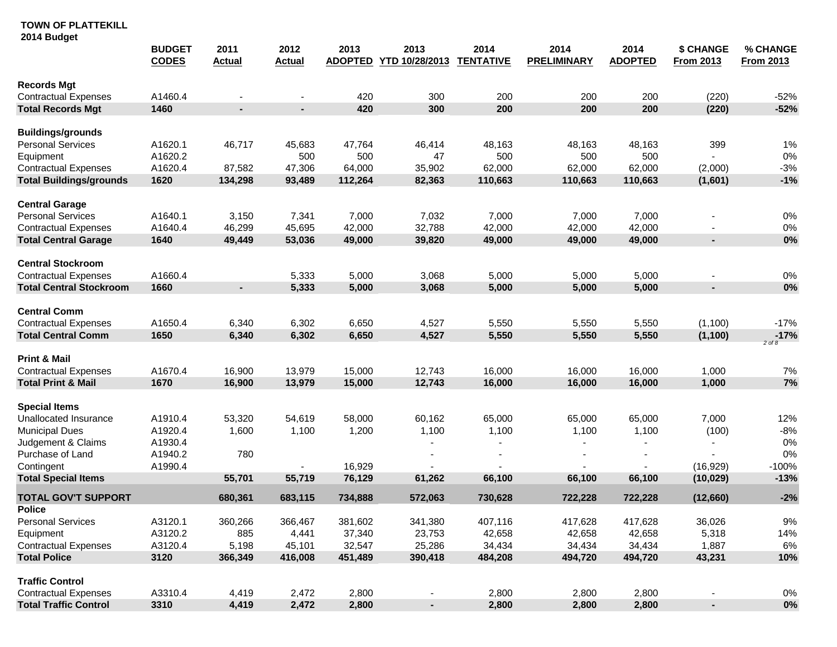|                                             | <b>BUDGET</b><br><b>CODES</b> | 2011<br><b>Actual</b> | 2012<br><b>Actual</b> | 2013<br><b>ADOPTED</b> | 2013<br>YTD 10/28/2013   | 2014<br><b>TENTATIVE</b> | 2014<br><b>PRELIMINARY</b> | 2014<br><b>ADOPTED</b> | \$ CHANGE<br><b>From 2013</b> | % CHANGE<br><b>From 2013</b> |
|---------------------------------------------|-------------------------------|-----------------------|-----------------------|------------------------|--------------------------|--------------------------|----------------------------|------------------------|-------------------------------|------------------------------|
| <b>Records Mgt</b>                          |                               |                       |                       |                        |                          |                          |                            |                        |                               |                              |
| <b>Contractual Expenses</b>                 | A1460.4                       |                       |                       | 420                    | 300                      | 200                      | 200                        | 200                    | (220)                         | $-52%$                       |
| <b>Total Records Mgt</b>                    | 1460                          | $\sim$                | ×.                    | 420                    | 300                      | 200                      | 200                        | 200                    | (220)                         | $-52%$                       |
| <b>Buildings/grounds</b>                    |                               |                       |                       |                        |                          |                          |                            |                        |                               |                              |
| <b>Personal Services</b>                    | A1620.1                       | 46,717                | 45,683                | 47,764                 | 46,414                   | 48,163                   | 48,163                     | 48,163                 | 399                           | 1%                           |
| Equipment                                   | A1620.2                       |                       | 500                   | 500                    | 47                       | 500                      | 500                        | 500                    |                               | $0\%$                        |
| <b>Contractual Expenses</b>                 | A1620.4                       | 87,582                | 47,306                | 64,000                 | 35,902                   | 62,000                   | 62,000                     | 62,000                 | (2,000)                       | $-3%$                        |
| <b>Total Buildings/grounds</b>              | 1620                          | 134,298               | 93,489                | 112,264                | 82,363                   | 110,663                  | 110,663                    | 110,663                | (1,601)                       | $-1%$                        |
| <b>Central Garage</b>                       |                               |                       |                       |                        |                          |                          |                            |                        |                               |                              |
| <b>Personal Services</b>                    | A1640.1                       | 3,150                 | 7,341                 | 7,000                  | 7,032                    | 7,000                    | 7,000                      | 7,000                  |                               | 0%                           |
| <b>Contractual Expenses</b>                 | A1640.4                       | 46,299                | 45,695                | 42,000                 | 32,788                   | 42,000                   | 42,000                     | 42,000                 |                               | 0%                           |
| <b>Total Central Garage</b>                 | 1640                          | 49,449                | 53,036                | 49,000                 | 39,820                   | 49,000                   | 49,000                     | 49,000                 |                               | 0%                           |
| <b>Central Stockroom</b>                    |                               |                       |                       |                        |                          |                          |                            |                        |                               |                              |
| <b>Contractual Expenses</b>                 | A1660.4                       |                       | 5,333                 | 5,000                  | 3,068                    | 5,000                    | 5,000                      | 5,000                  |                               | 0%                           |
| <b>Total Central Stockroom</b>              | 1660                          | ۰                     | 5,333                 | 5,000                  | 3,068                    | 5,000                    | 5,000                      | 5,000                  | $\blacksquare$                | 0%                           |
| <b>Central Comm</b>                         |                               |                       |                       |                        |                          |                          |                            |                        |                               |                              |
| <b>Contractual Expenses</b>                 | A1650.4                       | 6,340                 | 6,302                 | 6,650                  | 4,527                    | 5,550                    | 5,550                      | 5,550                  | (1,100)                       | $-17%$                       |
| <b>Total Central Comm</b>                   | 1650                          | 6,340                 | 6,302                 | 6,650                  | 4,527                    | 5,550                    | 5,550                      | 5,550                  | (1, 100)                      | $-17%$<br>$2$ of $8$         |
| <b>Print &amp; Mail</b>                     |                               |                       |                       |                        |                          |                          |                            |                        |                               |                              |
| <b>Contractual Expenses</b>                 | A1670.4                       | 16,900                | 13,979                | 15,000                 | 12,743                   | 16,000                   | 16,000                     | 16,000                 | 1,000                         | 7%                           |
| <b>Total Print &amp; Mail</b>               | 1670                          | 16,900                | 13,979                | 15,000                 | 12,743                   | 16,000                   | 16,000                     | 16,000                 | 1,000                         | 7%                           |
| <b>Special Items</b>                        |                               |                       |                       |                        |                          |                          |                            |                        |                               |                              |
| Unallocated Insurance                       | A1910.4                       | 53,320                | 54,619                | 58,000                 | 60,162                   | 65,000                   | 65,000                     | 65,000                 | 7,000                         | 12%                          |
| <b>Municipal Dues</b>                       | A1920.4                       | 1,600                 | 1,100                 | 1,200                  | 1,100                    | 1,100                    | 1,100                      | 1,100                  | (100)                         | $-8%$                        |
| Judgement & Claims                          | A1930.4                       |                       |                       |                        |                          |                          |                            |                        |                               | 0%                           |
| Purchase of Land                            | A1940.2                       | 780                   |                       |                        |                          |                          |                            |                        |                               | 0%                           |
| Contingent                                  | A1990.4                       |                       |                       | 16,929                 |                          |                          |                            |                        | (16, 929)                     | $-100%$                      |
| <b>Total Special Items</b>                  |                               | 55,701                | 55,719                | 76,129                 | 61,262                   | 66,100                   | 66,100                     | 66,100                 | (10, 029)                     | $-13%$                       |
| <b>TOTAL GOV'T SUPPORT</b><br><b>Police</b> |                               | 680,361               | 683,115               | 734,888                | 572,063                  | 730,628                  | 722,228                    | 722,228                | (12,660)                      | $-2%$                        |
| <b>Personal Services</b>                    | A3120.1                       | 360,266               | 366,467               | 381,602                | 341,380                  | 407,116                  | 417,628                    | 417,628                | 36,026                        | 9%                           |
| Equipment                                   | A3120.2                       | 885                   | 4,441                 | 37,340                 | 23,753                   | 42,658                   | 42,658                     | 42,658                 | 5,318                         | 14%                          |
| <b>Contractual Expenses</b>                 | A3120.4                       | 5,198                 | 45,101                | 32,547                 | 25,286                   | 34,434                   | 34,434                     | 34,434                 | 1,887                         | 6%                           |
| <b>Total Police</b>                         | 3120                          | 366,349               | 416,008               | 451,489                | 390,418                  | 484,208                  | 494,720                    | 494,720                | 43,231                        | 10%                          |
| <b>Traffic Control</b>                      |                               |                       |                       |                        |                          |                          |                            |                        |                               |                              |
| <b>Contractual Expenses</b>                 | A3310.4                       | 4,419                 | 2,472                 | 2,800                  |                          | 2,800                    | 2,800                      | 2,800                  |                               | 0%                           |
| <b>Total Traffic Control</b>                | 3310                          | 4,419                 | 2,472                 | 2,800                  | $\overline{\phantom{a}}$ | 2,800                    | 2,800                      | 2,800                  | $\blacksquare$                | 0%                           |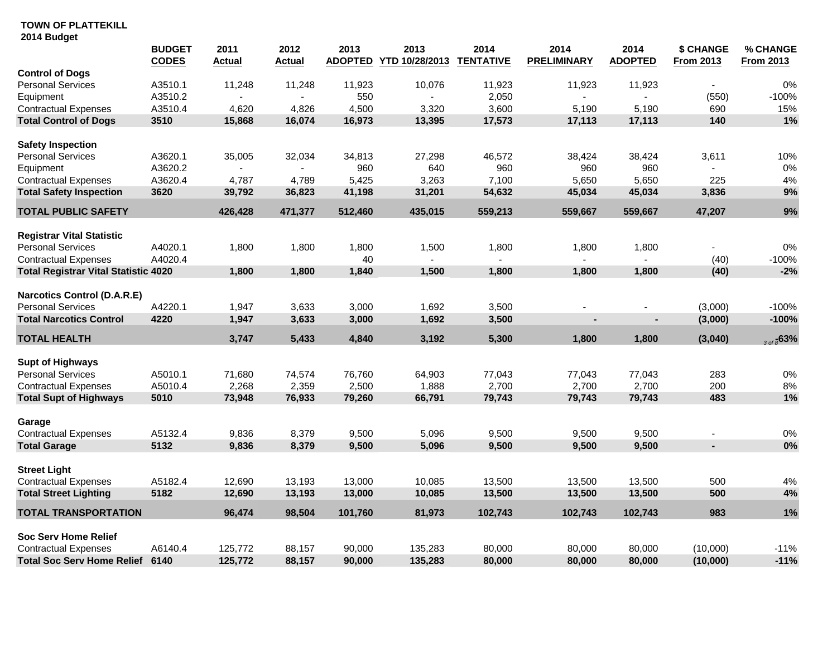|                                             | <b>BUDGET</b><br><b>CODES</b> | 2011<br><b>Actual</b> | 2012<br><b>Actual</b> | 2013<br><b>ADOPTED</b> | 2013<br>YTD 10/28/2013 | 2014<br><b>TENTATIVE</b> | 2014<br><b>PRELIMINARY</b> | 2014<br><b>ADOPTED</b> | \$ CHANGE<br><b>From 2013</b> | % CHANGE<br><b>From 2013</b> |
|---------------------------------------------|-------------------------------|-----------------------|-----------------------|------------------------|------------------------|--------------------------|----------------------------|------------------------|-------------------------------|------------------------------|
| <b>Control of Dogs</b>                      |                               |                       |                       |                        |                        |                          |                            |                        |                               |                              |
| <b>Personal Services</b>                    | A3510.1                       | 11,248                | 11,248                | 11,923                 | 10,076                 | 11,923                   | 11,923                     | 11,923                 |                               | 0%                           |
| Equipment                                   | A3510.2                       |                       |                       | 550                    |                        | 2,050                    |                            |                        | (550)                         | $-100%$                      |
| <b>Contractual Expenses</b>                 | A3510.4                       | 4,620                 | 4,826                 | 4,500                  | 3,320                  | 3,600                    | 5,190                      | 5,190                  | 690                           | 15%                          |
| <b>Total Control of Dogs</b>                | 3510                          | 15,868                | 16,074                | 16,973                 | 13,395                 | 17,573                   | 17,113                     | 17,113                 | 140                           | 1%                           |
| <b>Safety Inspection</b>                    |                               |                       |                       |                        |                        |                          |                            |                        |                               |                              |
| Personal Services                           | A3620.1                       | 35,005                | 32,034                | 34,813                 | 27,298                 | 46,572                   | 38,424                     | 38,424                 | 3,611                         | 10%                          |
| Equipment                                   | A3620.2                       |                       |                       | 960                    | 640                    | 960                      | 960                        | 960                    |                               | $0\%$                        |
| <b>Contractual Expenses</b>                 | A3620.4                       | 4,787                 | 4,789                 | 5,425                  | 3,263                  | 7,100                    | 5,650                      | 5,650                  | 225                           | $4\%$                        |
| <b>Total Safety Inspection</b>              | 3620                          | 39,792                | 36,823                | 41,198                 | 31,201                 | 54,632                   | 45,034                     | 45,034                 | 3,836                         | 9%                           |
| <b>TOTAL PUBLIC SAFETY</b>                  |                               | 426,428               | 471,377               | 512,460                | 435,015                | 559,213                  | 559,667                    | 559,667                | 47,207                        | 9%                           |
| <b>Registrar Vital Statistic</b>            |                               |                       |                       |                        |                        |                          |                            |                        |                               |                              |
| <b>Personal Services</b>                    | A4020.1                       | 1,800                 | 1,800                 | 1,800                  | 1,500                  | 1,800                    | 1,800                      | 1,800                  |                               | $0\%$                        |
| <b>Contractual Expenses</b>                 | A4020.4                       |                       |                       | 40                     |                        |                          | $\blacksquare$             |                        | (40)                          | $-100%$                      |
| <b>Total Registrar Vital Statistic 4020</b> |                               | 1,800                 | 1,800                 | 1,840                  | 1,500                  | 1,800                    | 1,800                      | 1,800                  | (40)                          | $-2%$                        |
| <b>Narcotics Control (D.A.R.E)</b>          |                               |                       |                       |                        |                        |                          |                            |                        |                               |                              |
| <b>Personal Services</b>                    | A4220.1                       | 1,947                 | 3,633                 | 3,000                  | 1,692                  | 3,500                    |                            |                        | (3,000)                       | $-100%$                      |
| <b>Total Narcotics Control</b>              | 4220                          | 1,947                 | 3,633                 | 3,000                  | 1,692                  | 3,500                    |                            |                        | (3,000)                       | $-100%$                      |
| <b>TOTAL HEALTH</b>                         |                               | 3,747                 | 5,433                 | 4,840                  | 3,192                  | 5,300                    | 1,800                      | 1,800                  | (3,040)                       | 300800                       |
| <b>Supt of Highways</b>                     |                               |                       |                       |                        |                        |                          |                            |                        |                               |                              |
| Personal Services                           | A5010.1                       | 71,680                | 74,574                | 76,760                 | 64,903                 | 77,043                   | 77,043                     | 77,043                 | 283                           | 0%                           |
| <b>Contractual Expenses</b>                 | A5010.4                       | 2,268                 | 2,359                 | 2,500                  | 1,888                  | 2,700                    | 2,700                      | 2,700                  | 200                           | $8%$                         |
| <b>Total Supt of Highways</b>               | 5010                          | 73,948                | 76,933                | 79,260                 | 66,791                 | 79,743                   | 79,743                     | 79,743                 | 483                           | 1%                           |
| Garage                                      |                               |                       |                       |                        |                        |                          |                            |                        |                               |                              |
| <b>Contractual Expenses</b>                 | A5132.4                       | 9,836                 | 8,379                 | 9,500                  | 5,096                  | 9,500                    | 9,500                      | 9,500                  |                               | $0\%$                        |
| <b>Total Garage</b>                         | 5132                          | 9,836                 | 8,379                 | 9,500                  | 5,096                  | 9,500                    | 9,500                      | 9,500                  | $\blacksquare$                | 0%                           |
| <b>Street Light</b>                         |                               |                       |                       |                        |                        |                          |                            |                        |                               |                              |
| <b>Contractual Expenses</b>                 | A5182.4                       | 12,690                | 13,193                | 13,000                 | 10,085                 | 13,500                   | 13,500                     | 13,500                 | 500                           | 4%                           |
| <b>Total Street Lighting</b>                | 5182                          | 12,690                | 13,193                | 13,000                 | 10,085                 | 13,500                   | 13,500                     | 13,500                 | 500                           | 4%                           |
| <b>TOTAL TRANSPORTATION</b>                 |                               | 96,474                | 98,504                | 101,760                | 81,973                 | 102,743                  | 102,743                    | 102,743                | 983                           | 1%                           |
|                                             |                               |                       |                       |                        |                        |                          |                            |                        |                               |                              |
| <b>Soc Serv Home Relief</b>                 |                               |                       |                       |                        |                        |                          |                            |                        |                               |                              |
| <b>Contractual Expenses</b>                 | A6140.4                       | 125,772               | 88,157                | 90,000                 | 135,283                | 80,000                   | 80,000                     | 80,000                 | (10,000)                      | $-11%$                       |
| <b>Total Soc Serv Home Relief</b>           | 6140                          | 125,772               | 88,157                | 90,000                 | 135,283                | 80,000                   | 80,000                     | 80,000                 | (10,000)                      | $-11%$                       |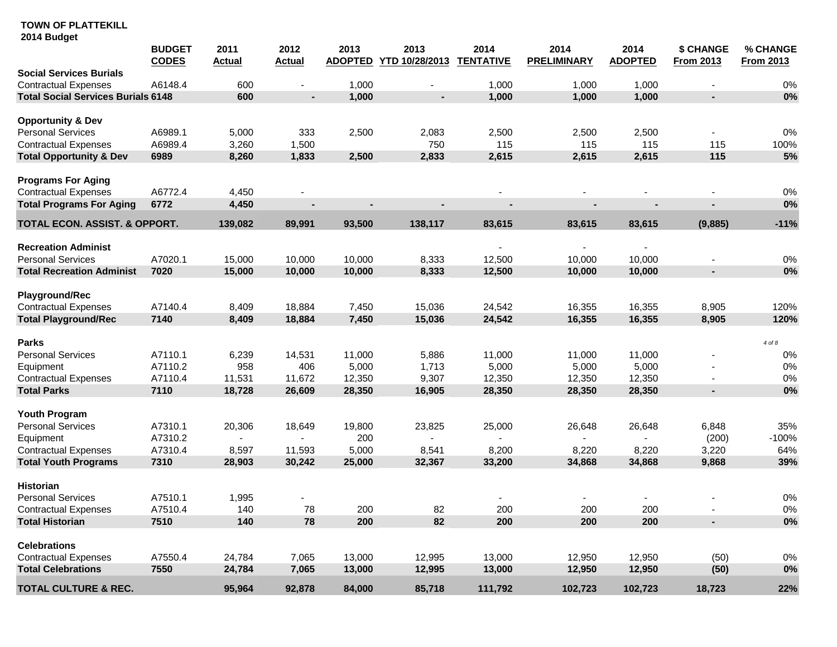## **TOWN OF PLATTEKILL**

| 2014 Budget |  |
|-------------|--|
|             |  |

|                                           | <b>BUDGET</b><br><b>CODES</b> | 2011<br><b>Actual</b> | 2012<br><b>Actual</b> | 2013<br><b>ADOPTED</b> | 2013<br>YTD 10/28/2013 | 2014<br><b>TENTATIVE</b> | 2014<br><b>PRELIMINARY</b> | 2014<br><b>ADOPTED</b> | \$ CHANGE<br><b>From 2013</b> | % CHANGE<br><b>From 2013</b> |
|-------------------------------------------|-------------------------------|-----------------------|-----------------------|------------------------|------------------------|--------------------------|----------------------------|------------------------|-------------------------------|------------------------------|
| <b>Social Services Burials</b>            |                               |                       |                       |                        |                        |                          |                            |                        |                               |                              |
| <b>Contractual Expenses</b>               | A6148.4                       | 600                   |                       | 1,000                  |                        | 1,000                    | 1,000                      | 1,000                  | $\blacksquare$                | 0%                           |
| <b>Total Social Services Burials 6148</b> |                               | 600                   | ×                     | 1,000                  | ÷                      | 1,000                    | 1,000                      | 1,000                  | $\blacksquare$                | 0%                           |
| <b>Opportunity &amp; Dev</b>              |                               |                       |                       |                        |                        |                          |                            |                        |                               |                              |
| <b>Personal Services</b>                  | A6989.1                       | 5,000                 | 333                   | 2,500                  | 2,083                  | 2,500                    | 2,500                      | 2,500                  | $\blacksquare$                | 0%                           |
| <b>Contractual Expenses</b>               | A6989.4                       | 3,260                 | 1,500                 |                        | 750                    | 115                      | 115                        | 115                    | 115                           | 100%                         |
| <b>Total Opportunity &amp; Dev</b>        | 6989                          | 8,260                 | 1,833                 | 2,500                  | 2,833                  | 2,615                    | 2,615                      | 2,615                  | 115                           | 5%                           |
| <b>Programs For Aging</b>                 |                               |                       |                       |                        |                        |                          |                            |                        |                               |                              |
| <b>Contractual Expenses</b>               | A6772.4                       | 4,450                 |                       |                        |                        |                          |                            |                        |                               | $0\%$                        |
| <b>Total Programs For Aging</b>           | 6772                          | 4,450                 |                       |                        |                        |                          |                            |                        |                               | 0%                           |
| TOTAL ECON. ASSIST. & OPPORT.             |                               | 139,082               | 89,991                | 93,500                 | 138,117                | 83,615                   | 83,615                     | 83,615                 | (9,885)                       | $-11%$                       |
| <b>Recreation Administ</b>                |                               |                       |                       |                        |                        |                          | $\overline{\phantom{a}}$   |                        |                               |                              |
| <b>Personal Services</b>                  | A7020.1                       | 15,000                | 10,000                | 10,000                 | 8,333                  | 12,500                   | 10,000                     | 10,000                 | $\overline{\phantom{m}}$      | 0%                           |
| <b>Total Recreation Administ</b>          | 7020                          | 15,000                | 10,000                | 10,000                 | 8,333                  | 12,500                   | 10,000                     | 10,000                 | ×                             | 0%                           |
| <b>Playground/Rec</b>                     |                               |                       |                       |                        |                        |                          |                            |                        |                               |                              |
| <b>Contractual Expenses</b>               | A7140.4                       | 8,409                 | 18,884                | 7,450                  | 15,036                 | 24,542                   | 16,355                     | 16,355                 | 8,905                         | 120%                         |
| <b>Total Playground/Rec</b>               | 7140                          | 8,409                 | 18,884                | 7,450                  | 15,036                 | 24,542                   | 16,355                     | 16,355                 | 8,905                         | 120%                         |
| <b>Parks</b>                              |                               |                       |                       |                        |                        |                          |                            |                        |                               | 4 of 8                       |
| <b>Personal Services</b>                  | A7110.1                       | 6,239                 | 14,531                | 11,000                 | 5,886                  | 11,000                   | 11,000                     | 11,000                 |                               | 0%                           |
| Equipment                                 | A7110.2                       | 958                   | 406                   | 5,000                  | 1,713                  | 5,000                    | 5,000                      | 5,000                  |                               | $0\%$                        |
| <b>Contractual Expenses</b>               | A7110.4                       | 11,531                | 11,672                | 12,350                 | 9,307                  | 12,350                   | 12,350                     | 12,350                 |                               | 0%                           |
| <b>Total Parks</b>                        | 7110                          | 18,728                | 26,609                | 28,350                 | 16,905                 | 28,350                   | 28,350                     | 28,350                 | ×                             | 0%                           |
| Youth Program                             |                               |                       |                       |                        |                        |                          |                            |                        |                               |                              |
| <b>Personal Services</b>                  | A7310.1                       | 20,306                | 18,649                | 19,800                 | 23,825                 | 25,000                   | 26,648                     | 26,648                 | 6,848                         | 35%                          |
| Equipment                                 | A7310.2                       | $\blacksquare$        |                       | 200                    |                        |                          |                            |                        | (200)                         | $-100%$                      |
| <b>Contractual Expenses</b>               | A7310.4                       | 8,597                 | 11,593                | 5,000                  | 8,541                  | 8,200                    | 8,220                      | 8,220                  | 3,220                         | 64%                          |
| <b>Total Youth Programs</b>               | 7310                          | 28,903                | 30,242                | 25,000                 | 32,367                 | 33,200                   | 34,868                     | 34,868                 | 9,868                         | 39%                          |
| <b>Historian</b>                          |                               |                       |                       |                        |                        |                          |                            |                        |                               |                              |
| <b>Personal Services</b>                  | A7510.1                       | 1,995                 |                       |                        |                        |                          |                            |                        |                               | $0\%$                        |
| <b>Contractual Expenses</b>               | A7510.4                       | 140                   | 78                    | 200                    | 82                     | 200                      | 200                        | 200                    |                               | 0%                           |
| <b>Total Historian</b>                    | 7510                          | 140                   | 78                    | 200                    | 82                     | 200                      | 200                        | 200                    | ×.                            | 0%                           |
| <b>Celebrations</b>                       |                               |                       |                       |                        |                        |                          |                            |                        |                               |                              |
| <b>Contractual Expenses</b>               | A7550.4                       | 24,784                | 7,065                 | 13,000                 | 12,995                 | 13,000                   | 12,950                     | 12,950                 | (50)                          | 0%                           |
| <b>Total Celebrations</b>                 | 7550                          | 24,784                | 7,065                 | 13,000                 | 12,995                 | 13,000                   | 12,950                     | 12,950                 | (50)                          | 0%                           |
| TOTAL CULTURE & REC.                      |                               | 95,964                | 92,878                | 84,000                 | 85,718                 | 111,792                  | 102,723                    | 102,723                | 18,723                        | 22%                          |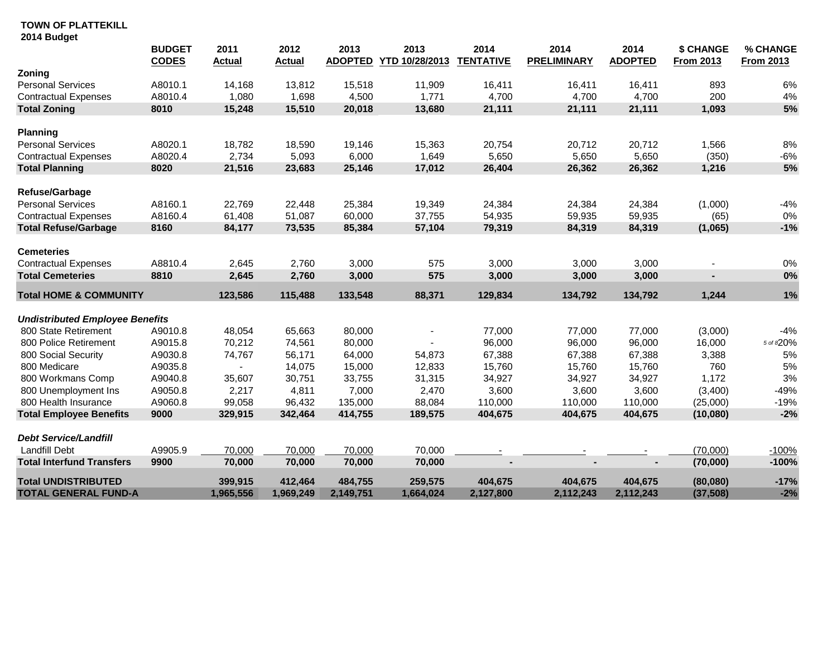|                                        | <b>BUDGET</b><br><b>CODES</b> | 2011<br><b>Actual</b> | 2012<br><b>Actual</b> | 2013<br><b>ADOPTED</b> | 2013<br>YTD 10/28/2013 | 2014<br><b>TENTATIVE</b> | 2014<br><b>PRELIMINARY</b> | 2014<br><b>ADOPTED</b> | <b>\$ CHANGE</b><br><b>From 2013</b> | % CHANGE<br><b>From 2013</b> |
|----------------------------------------|-------------------------------|-----------------------|-----------------------|------------------------|------------------------|--------------------------|----------------------------|------------------------|--------------------------------------|------------------------------|
| Zoning                                 |                               |                       |                       |                        |                        |                          |                            |                        |                                      |                              |
| <b>Personal Services</b>               | A8010.1                       | 14,168                | 13,812                | 15,518                 | 11,909                 | 16,411                   | 16.411                     | 16.411                 | 893                                  | 6%                           |
| <b>Contractual Expenses</b>            | A8010.4                       | 1,080                 | 1,698                 | 4,500                  | 1,771                  | 4,700                    | 4,700                      | 4,700                  | 200                                  | $4%$                         |
| <b>Total Zoning</b>                    | 8010                          | 15,248                | 15,510                | 20,018                 | 13,680                 | 21,111                   | 21,111                     | 21,111                 | 1,093                                | 5%                           |
| <b>Planning</b>                        |                               |                       |                       |                        |                        |                          |                            |                        |                                      |                              |
| <b>Personal Services</b>               | A8020.1                       | 18,782                | 18,590                | 19,146                 | 15,363                 | 20,754                   | 20,712                     | 20,712                 | 1,566                                | 8%                           |
| <b>Contractual Expenses</b>            | A8020.4                       | 2,734                 | 5,093                 | 6,000                  | 1,649                  | 5,650                    | 5,650                      | 5,650                  | (350)                                | $-6%$                        |
| <b>Total Planning</b>                  | 8020                          | 21,516                | 23,683                | 25,146                 | 17,012                 | 26,404                   | 26,362                     | 26,362                 | 1,216                                | 5%                           |
| Refuse/Garbage                         |                               |                       |                       |                        |                        |                          |                            |                        |                                      |                              |
| <b>Personal Services</b>               | A8160.1                       | 22,769                | 22,448                | 25,384                 | 19,349                 | 24,384                   | 24,384                     | 24,384                 | (1,000)                              | $-4%$                        |
| <b>Contractual Expenses</b>            | A8160.4                       | 61,408                | 51,087                | 60,000                 | 37,755                 | 54,935                   | 59,935                     | 59,935                 | (65)                                 | 0%                           |
| <b>Total Refuse/Garbage</b>            | 8160                          | 84,177                | 73,535                | 85,384                 | 57,104                 | 79,319                   | 84,319                     | 84,319                 | (1,065)                              | $-1%$                        |
| <b>Cemeteries</b>                      |                               |                       |                       |                        |                        |                          |                            |                        |                                      |                              |
| <b>Contractual Expenses</b>            | A8810.4                       | 2,645                 | 2,760                 | 3,000                  | 575                    | 3,000                    | 3,000                      | 3,000                  |                                      | 0%                           |
| <b>Total Cemeteries</b>                | 8810                          | 2,645                 | 2,760                 | 3,000                  | 575                    | 3,000                    | 3,000                      | 3,000                  |                                      | 0%                           |
| <b>Total HOME &amp; COMMUNITY</b>      |                               | 123,586               | 115,488               | 133,548                | 88,371                 | 129,834                  | 134,792                    | 134,792                | 1,244                                | 1%                           |
| <b>Undistributed Employee Benefits</b> |                               |                       |                       |                        |                        |                          |                            |                        |                                      |                              |
| 800 State Retirement                   | A9010.8                       | 48,054                | 65,663                | 80,000                 |                        | 77,000                   | 77,000                     | 77,000                 | (3,000)                              | $-4%$                        |
| 800 Police Retirement                  | A9015.8                       | 70,212                | 74,561                | 80,000                 |                        | 96,000                   | 96,000                     | 96,000                 | 16,000                               | 5 of 820%                    |
| 800 Social Security                    | A9030.8                       | 74,767                | 56,171                | 64,000                 | 54,873                 | 67,388                   | 67,388                     | 67,388                 | 3,388                                | 5%                           |
| 800 Medicare                           | A9035.8                       |                       | 14,075                | 15,000                 | 12,833                 | 15,760                   | 15,760                     | 15,760                 | 760                                  | 5%                           |
| 800 Workmans Comp                      | A9040.8                       | 35,607                | 30,751                | 33,755                 | 31,315                 | 34,927                   | 34,927                     | 34,927                 | 1,172                                | 3%                           |
| 800 Unemployment Ins                   | A9050.8                       | 2,217                 | 4,811                 | 7,000                  | 2,470                  | 3,600                    | 3,600                      | 3,600                  | (3,400)                              | $-49%$                       |
| 800 Health Insurance                   | A9060.8                       | 99,058                | 96,432                | 135,000                | 88,084                 | 110,000                  | 110,000                    | 110,000                | (25,000)                             | $-19%$                       |
| <b>Total Employee Benefits</b>         | 9000                          | 329,915               | 342,464               | 414,755                | 189,575                | 404,675                  | 404,675                    | 404,675                | (10,080)                             | $-2%$                        |
| <b>Debt Service/Landfill</b>           |                               |                       |                       |                        |                        |                          |                            |                        |                                      |                              |
| <b>Landfill Debt</b>                   | A9905.9                       | 70,000                | 70,000                | 70,000                 | 70,000                 |                          |                            |                        | (70,000)                             | $-100%$                      |
| <b>Total Interfund Transfers</b>       | 9900                          | 70,000                | 70,000                | 70,000                 | 70,000                 |                          |                            |                        | (70,000)                             | $-100%$                      |
| <b>Total UNDISTRIBUTED</b>             |                               | 399,915               | 412,464               | 484,755                | 259,575                | 404,675                  | 404,675                    | 404,675                | (80,080)                             | $-17%$                       |
| <b>TOTAL GENERAL FUND-A</b>            |                               | 1,965,556             | 1,969,249             | 2,149,751              | 1,664,024              | 2,127,800                | 2,112,243                  | 2,112,243              | (37, 508)                            | $-2%$                        |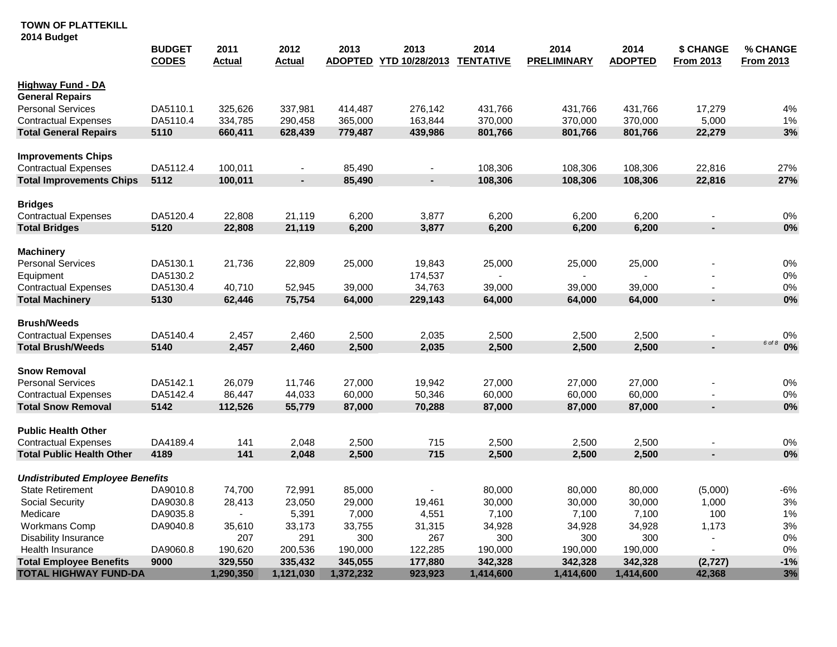# **TOWN OF PLATTEKILL**

**2014 Budget**

|                                        | <b>BUDGET</b><br><b>CODES</b> | 2011<br><u>Actual</u> | 2012<br><u>Actual</u> | 2013<br><b>ADOPTED</b> | 2013<br>YTD 10/28/2013 | 2014<br><b>TENTATIVE</b> | 2014<br><b>PRELIMINARY</b> | 2014<br><b>ADOPTED</b> | <b>\$ CHANGE</b><br><b>From 2013</b> | % CHANGE<br><b>From 2013</b> |
|----------------------------------------|-------------------------------|-----------------------|-----------------------|------------------------|------------------------|--------------------------|----------------------------|------------------------|--------------------------------------|------------------------------|
| <b>Highway Fund - DA</b>               |                               |                       |                       |                        |                        |                          |                            |                        |                                      |                              |
| <b>General Repairs</b>                 |                               |                       |                       |                        |                        |                          |                            |                        |                                      |                              |
| <b>Personal Services</b>               | DA5110.1                      | 325,626               | 337,981               | 414,487                | 276,142                | 431,766                  | 431,766                    | 431,766                | 17,279                               | 4%                           |
| <b>Contractual Expenses</b>            | DA5110.4                      | 334,785               | 290,458               | 365,000                | 163,844                | 370,000                  | 370,000                    | 370,000                | 5,000                                | 1%                           |
| <b>Total General Repairs</b>           | 5110                          | 660,411               | 628,439               | 779,487                | 439,986                | 801,766                  | 801,766                    | 801,766                | 22,279                               | 3%                           |
| <b>Improvements Chips</b>              |                               |                       |                       |                        |                        |                          |                            |                        |                                      |                              |
| <b>Contractual Expenses</b>            | DA5112.4                      | 100,011               | $\blacksquare$        | 85,490                 | $\blacksquare$         | 108,306                  | 108,306                    | 108,306                | 22,816                               | 27%                          |
| <b>Total Improvements Chips</b>        | 5112                          | 100,011               | ÷.                    | 85,490                 | ×.                     | 108,306                  | 108,306                    | 108,306                | 22,816                               | 27%                          |
| <b>Bridges</b>                         |                               |                       |                       |                        |                        |                          |                            |                        |                                      |                              |
| <b>Contractual Expenses</b>            | DA5120.4                      | 22,808                | 21,119                | 6,200                  | 3,877                  | 6,200                    | 6,200                      | 6,200                  |                                      | 0%                           |
| <b>Total Bridges</b>                   | 5120                          | 22,808                | 21,119                | 6,200                  | 3,877                  | 6,200                    | 6,200                      | 6,200                  | $\blacksquare$                       | 0%                           |
| <b>Machinery</b>                       |                               |                       |                       |                        |                        |                          |                            |                        |                                      |                              |
| <b>Personal Services</b>               | DA5130.1                      | 21,736                | 22,809                | 25,000                 | 19,843                 | 25,000                   | 25,000                     | 25,000                 |                                      | $0\%$                        |
| Equipment                              | DA5130.2                      |                       |                       |                        | 174,537                | $\sim$                   | $\blacksquare$             |                        |                                      | $0\%$                        |
| <b>Contractual Expenses</b>            | DA5130.4                      | 40,710                | 52,945                | 39,000                 | 34,763                 | 39,000                   | 39,000                     | 39,000                 | $\blacksquare$                       | $0\%$                        |
| <b>Total Machinery</b>                 | 5130                          | 62,446                | 75,754                | 64,000                 | 229,143                | 64,000                   | 64,000                     | 64,000                 | $\blacksquare$                       | 0%                           |
| <b>Brush/Weeds</b>                     |                               |                       |                       |                        |                        |                          |                            |                        |                                      |                              |
| <b>Contractual Expenses</b>            | DA5140.4                      | 2,457                 | 2,460                 | 2,500                  | 2,035                  | 2,500                    | 2,500                      | 2,500                  |                                      | 0%                           |
| <b>Total Brush/Weeds</b>               | 5140                          | 2,457                 | 2,460                 | 2,500                  | 2,035                  | 2,500                    | 2,500                      | 2,500                  | $\blacksquare$                       | $60f8$ 0%                    |
| <b>Snow Removal</b>                    |                               |                       |                       |                        |                        |                          |                            |                        |                                      |                              |
| <b>Personal Services</b>               | DA5142.1                      | 26,079                | 11,746                | 27,000                 | 19,942                 | 27,000                   | 27,000                     | 27,000                 |                                      | $0\%$                        |
| <b>Contractual Expenses</b>            | DA5142.4                      | 86,447                | 44,033                | 60,000                 | 50,346                 | 60,000                   | 60,000                     | 60,000                 |                                      | $0\%$                        |
| <b>Total Snow Removal</b>              | 5142                          | 112,526               | 55,779                | 87,000                 | 70,288                 | 87,000                   | 87,000                     | 87,000                 | ÷.                                   | 0%                           |
| <b>Public Health Other</b>             |                               |                       |                       |                        |                        |                          |                            |                        |                                      |                              |
| <b>Contractual Expenses</b>            | DA4189.4                      | 141                   | 2,048                 | 2,500                  | 715                    | 2,500                    | 2,500                      | 2,500                  |                                      | $0\%$                        |
| <b>Total Public Health Other</b>       | 4189                          | 141                   | 2,048                 | 2,500                  | 715                    | 2,500                    | 2,500                      | 2,500                  | ÷.                                   | 0%                           |
| <b>Undistributed Employee Benefits</b> |                               |                       |                       |                        |                        |                          |                            |                        |                                      |                              |
| <b>State Retirement</b>                | DA9010.8                      | 74,700                | 72,991                | 85,000                 | $\blacksquare$         | 80,000                   | 80,000                     | 80,000                 | (5,000)                              | $-6%$                        |
| <b>Social Security</b>                 | DA9030.8                      | 28,413                | 23,050                | 29,000                 | 19,461                 | 30,000                   | 30,000                     | 30,000                 | 1,000                                | $3%$                         |
| Medicare                               | DA9035.8                      | $\blacksquare$        | 5,391                 | 7,000                  | 4,551                  | 7,100                    | 7,100                      | 7,100                  | 100                                  | 1%                           |
| Workmans Comp                          | DA9040.8                      | 35,610                | 33,173                | 33,755                 | 31,315                 | 34,928                   | 34,928                     | 34,928                 | 1,173                                | $3%$                         |
| Disability Insurance                   |                               | 207                   | 291                   | 300                    | 267                    | 300                      | 300                        | 300                    |                                      | 0%                           |
| <b>Health Insurance</b>                | DA9060.8                      | 190,620               | 200,536               | 190,000                | 122,285                | 190,000                  | 190,000                    | 190,000                | $\blacksquare$                       | $0\%$                        |
| <b>Total Employee Benefits</b>         | 9000                          | 329,550               | 335,432               | 345,055                | 177,880                | 342,328                  | 342,328                    | 342,328                | (2, 727)                             | $-1%$                        |
| <b>TOTAL HIGHWAY FUND-DA</b>           |                               | 1,290,350             | 1,121,030             | 1,372,232              | 923,923                | 1,414,600                | 1,414,600                  | 1,414,600              | 42,368                               | 3%                           |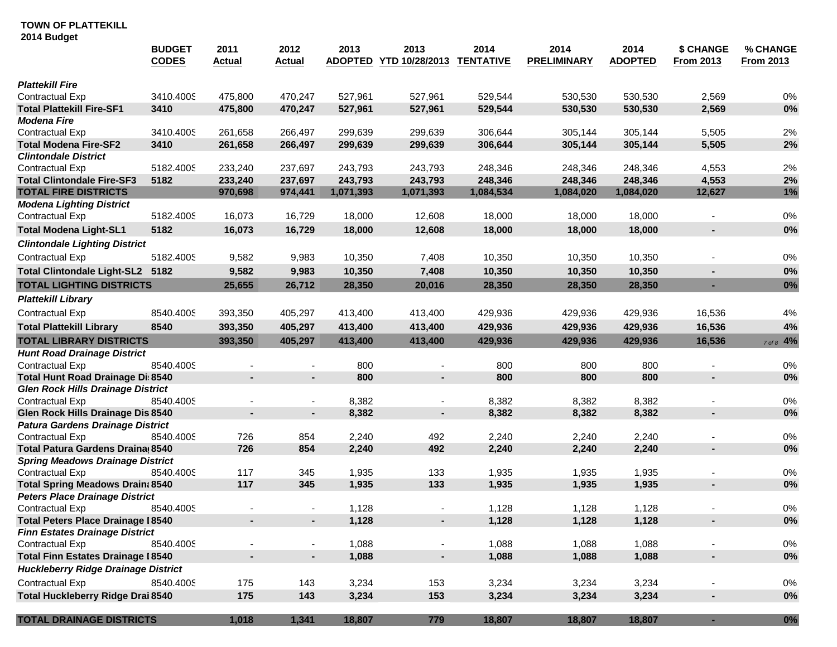|                                                                                  | <b>BUDGET</b><br><b>CODES</b> | 2011<br><u>Actual</u> | 2012<br><b>Actual</b>    | 2013<br><b>ADOPTED</b> | 2013<br>YTD 10/28/2013 | 2014<br><b>TENTATIVE</b> | 2014<br><b>PRELIMINARY</b> | 2014<br><b>ADOPTED</b> | \$ CHANGE<br><b>From 2013</b> | % CHANGE<br><b>From 2013</b> |
|----------------------------------------------------------------------------------|-------------------------------|-----------------------|--------------------------|------------------------|------------------------|--------------------------|----------------------------|------------------------|-------------------------------|------------------------------|
| <b>Plattekill Fire</b>                                                           |                               |                       |                          |                        |                        |                          |                            |                        |                               |                              |
| Contractual Exp                                                                  | 3410.4005                     | 475,800               | 470,247                  | 527,961                | 527,961                | 529,544                  | 530,530                    | 530,530                | 2,569                         | $0\%$                        |
| <b>Total Plattekill Fire-SF1</b>                                                 | 3410                          | 475,800               | 470,247                  | 527,961                | 527,961                | 529,544                  | 530,530                    | 530,530                | 2,569                         | $0\%$                        |
| <b>Modena Fire</b>                                                               |                               |                       |                          |                        |                        |                          |                            |                        |                               |                              |
| Contractual Exp                                                                  | 3410.4005                     | 261,658               | 266,497                  | 299,639                | 299,639                | 306,644                  | 305,144                    | 305,144                | 5,505                         | 2%                           |
| <b>Total Modena Fire-SF2</b>                                                     | 3410                          | 261,658               | 266,497                  | 299,639                | 299,639                | 306,644                  | 305,144                    | 305,144                | 5,505                         | 2%                           |
| <b>Clintondale District</b>                                                      |                               |                       |                          |                        |                        |                          |                            |                        |                               |                              |
| Contractual Exp                                                                  | 5182.4005                     | 233,240               | 237,697                  | 243,793                | 243,793                | 248,346                  | 248,346                    | 248,346                | 4,553                         | 2%                           |
| <b>Total Clintondale Fire-SF3</b>                                                | 5182                          | 233,240               | 237,697                  | 243,793                | 243,793                | 248,346                  | 248,346                    | 248,346                | 4,553                         | 2%                           |
| <b>TOTAL FIRE DISTRICTS</b>                                                      |                               | 970,698               | 974,441                  | 1,071,393              | 1,071,393              | 1,084,534                | 1,084,020                  | 1,084,020              | 12,627                        | 1%                           |
| <b>Modena Lighting District</b>                                                  |                               |                       |                          |                        |                        |                          |                            |                        |                               |                              |
| Contractual Exp                                                                  | 5182.4005                     | 16,073                | 16,729                   | 18,000                 | 12,608                 | 18,000                   | 18,000                     | 18,000                 |                               | $0\%$                        |
| <b>Total Modena Light-SL1</b>                                                    | 5182                          | 16,073                | 16,729                   | 18,000                 | 12,608                 | 18,000                   | 18,000                     | 18,000                 | $\blacksquare$                | $0\%$                        |
| <b>Clintondale Lighting District</b>                                             |                               |                       |                          |                        |                        |                          |                            |                        |                               |                              |
| Contractual Exp                                                                  | 5182.4005                     | 9,582                 | 9,983                    | 10,350                 | 7,408                  | 10,350                   | 10,350                     | 10,350                 |                               | 0%                           |
| Total Clintondale Light-SL2 5182                                                 |                               | 9,582                 | 9,983                    | 10,350                 | 7,408                  | 10,350                   | 10,350                     | 10,350                 |                               | 0%                           |
| <b>TOTAL LIGHTING DISTRICTS</b>                                                  |                               | 25,655                | 26,712                   | 28,350                 | 20,016                 | 28,350                   | 28,350                     | 28,350                 |                               | $0\%$                        |
| <b>Plattekill Library</b>                                                        |                               |                       |                          |                        |                        |                          |                            |                        |                               |                              |
| <b>Contractual Exp</b>                                                           | 8540.4005                     | 393,350               | 405,297                  | 413,400                | 413,400                | 429,936                  | 429,936                    | 429,936                | 16,536                        | $4\%$                        |
| <b>Total Plattekill Library</b>                                                  | 8540                          | 393,350               | 405,297                  | 413,400                | 413,400                | 429,936                  | 429,936                    | 429,936                | 16,536                        | 4%                           |
| <b>TOTAL LIBRARY DISTRICTS</b>                                                   |                               | 393,350               | 405,297                  | 413,400                | 413,400                | 429,936                  | 429,936                    | 429,936                | 16,536                        | 7 of 8 4%                    |
| <b>Hunt Road Drainage District</b>                                               |                               |                       |                          |                        |                        |                          |                            |                        |                               |                              |
| Contractual Exp                                                                  | 8540.4005                     |                       | ٠                        | 800                    |                        | 800                      | 800                        | 800                    | $\blacksquare$                | 0%                           |
| Total Hunt Road Drainage Di: 8540                                                |                               | $\blacksquare$        |                          | 800                    | $\blacksquare$         | 800                      | 800                        | 800                    | ×                             | 0%                           |
| <b>Glen Rock Hills Drainage District</b>                                         |                               |                       |                          |                        |                        |                          |                            |                        |                               |                              |
| Contractual Exp                                                                  | 8540.4005                     |                       | $\overline{\phantom{a}}$ | 8,382                  |                        | 8,382                    | 8,382                      | 8,382                  |                               | $0\%$                        |
| Glen Rock Hills Drainage Dis 8540                                                |                               | $\blacksquare$        | ×.                       | 8,382                  | $\blacksquare$         | 8,382                    | 8,382                      | 8,382                  | $\overline{\phantom{a}}$      | 0%                           |
| <b>Patura Gardens Drainage District</b>                                          |                               |                       |                          |                        |                        |                          |                            |                        |                               |                              |
| Contractual Exp                                                                  | 8540.4005                     | 726                   | 854                      | 2,240                  | 492                    | 2,240                    | 2,240                      | 2,240                  |                               | $0\%$                        |
| Total Patura Gardens Draina 8540                                                 |                               | 726                   | 854                      | 2,240                  | 492                    | 2,240                    | 2,240                      | 2,240                  | $\blacksquare$                | 0%                           |
| <b>Spring Meadows Drainage District</b>                                          |                               |                       |                          |                        |                        |                          |                            |                        |                               |                              |
| Contractual Exp                                                                  | 8540.4005                     | 117<br>117            | 345                      | 1,935                  | 133                    | 1,935                    | 1,935                      | 1,935                  |                               | $0\%$                        |
| <b>Total Spring Meadows Drain: 8540</b><br><b>Peters Place Drainage District</b> |                               |                       | 345                      | 1,935                  | 133                    | 1,935                    | 1,935                      | 1,935                  | ×                             | 0%                           |
| Contractual Exp                                                                  | 8540.4005                     |                       |                          | 1,128                  |                        | 1,128                    | 1,128                      | 1,128                  |                               | $0\%$                        |
| <b>Total Peters Place Drainage I8540</b>                                         |                               |                       |                          | 1,128                  |                        | 1,128                    | 1,128                      | 1,128                  |                               | $0\%$                        |
| <b>Finn Estates Drainage District</b>                                            |                               |                       |                          |                        |                        |                          |                            |                        |                               |                              |
| Contractual Exp                                                                  | 8540.4005                     | $\blacksquare$        | $\blacksquare$           | 1,088                  | $\blacksquare$         | 1,088                    | 1,088                      | 1,088                  |                               | 0%                           |
| <b>Total Finn Estates Drainage I 8540</b>                                        |                               | $\blacksquare$        | $\blacksquare$           | 1,088                  | ÷.                     | 1,088                    | 1,088                      | 1,088                  | ÷                             | $0\%$                        |
| <b>Huckleberry Ridge Drainage District</b>                                       |                               |                       |                          |                        |                        |                          |                            |                        |                               |                              |
| <b>Contractual Exp</b>                                                           | 8540.4005                     | 175                   | 143                      | 3,234                  | 153                    | 3,234                    | 3,234                      | 3,234                  |                               | $0\%$                        |
| <b>Total Huckleberry Ridge Drai 8540</b>                                         |                               | 175                   | 143                      | 3,234                  | 153                    | 3,234                    | 3,234                      | 3,234                  | $\overline{\phantom{a}}$      | $0\%$                        |
| <b>TOTAL DRAINAGE DISTRICTS</b>                                                  |                               | 1,018                 | 1,341                    | 18,807                 | 779                    | 18,807                   | 18,807                     | 18,807                 | ÷                             | $0\%$                        |